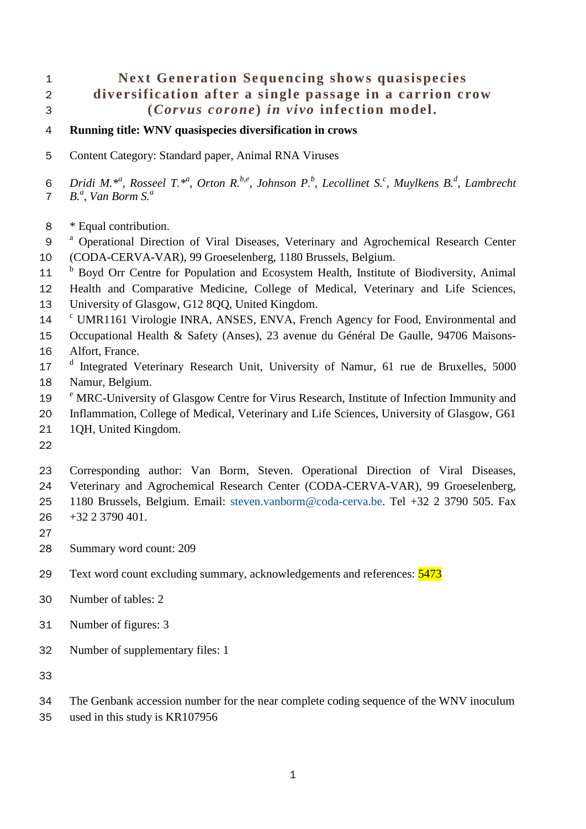# **Next Generation Sequencing shows quasispecies diversification after a single passage in a carrion crow (***Corvus corone* **)** *in vivo* **infection model.**

- **Running title: WNV quasispecies diversification in crows**
- Content Category: Standard paper, Animal RNA Viruses

*Dridi M.\*a , Rosseel T.\*a , Orton R.b,e , Johnson P.b , Lecollinet S.<sup>c</sup> , Muylkens B.d , Lambrecht B.<sup>a</sup>*, *Van Borm S.<sup>a</sup>* 

- \* Equal contribution.
- 9<sup>a</sup> Operational Direction of Viral Diseases, Veterinary and Agrochemical Research Center (CODA-CERVA-VAR), 99 Groeselenberg, 1180 Brussels, Belgium.
- <sup>b</sup> Boyd Orr Centre for Population and Ecosystem Health, Institute of Biodiversity, Animal

Health and Comparative Medicine, College of Medical, Veterinary and Life Sciences,

- University of Glasgow, G12 8QQ, United Kingdom.
- <sup>c</sup> UMR1161 Virologie INRA, ANSES, ENVA, French Agency for Food, Environmental and
- Occupational Health & Safety (Anses), 23 avenue du Général De Gaulle, 94706 Maisons-
- Alfort, France.
- 17 <sup>d</sup> Integrated Veterinary Research Unit, University of Namur, 61 rue de Bruxelles, 5000 Namur, Belgium.
- <sup>e</sup> MRC-University of Glasgow Centre for Virus Research, Institute of Infection Immunity and
- Inflammation, College of Medical, Veterinary and Life Sciences, University of Glasgow, G61
- 1QH, United Kingdom.
- 

 Corresponding author: Van Borm, Steven. Operational Direction of Viral Diseases, Veterinary and Agrochemical Research Center (CODA-CERVA-VAR), 99 Groeselenberg,

1180 Brussels, Belgium. Email: [steven.vanborm@coda-cerva.be.](mailto:steven.vanborm@coda-cerva.be) Tel +32 2 3790 505. Fax

- +32 2 3790 401.
- 

Summary word count: 209

- 29 Text word count excluding summary, acknowledgements and references:  $\frac{5473}{ }$
- Number of tables: 2
- Number of figures: 3
- Number of supplementary files: 1
- 
- The Genbank accession number for the near complete coding sequence of the WNV inoculum

used in this study is KR107956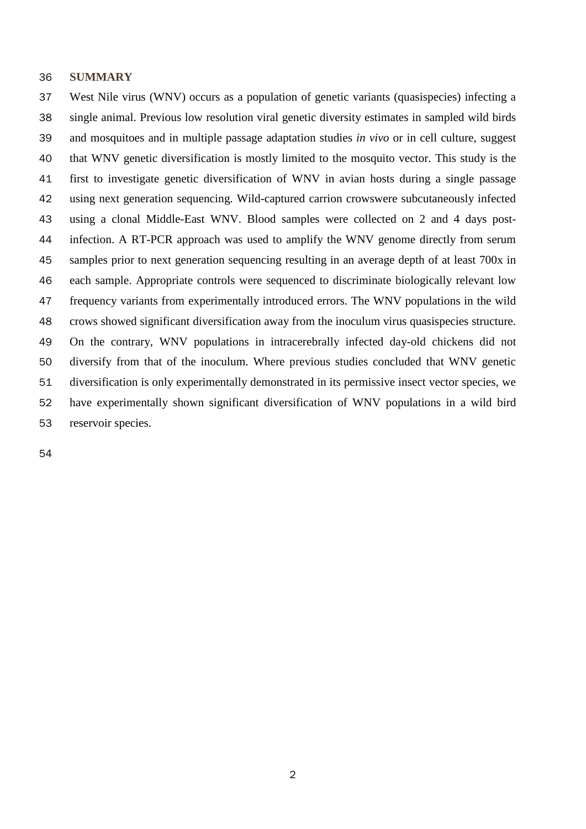#### **SUMMARY**

 West Nile virus (WNV) occurs as a population of genetic variants (quasispecies) infecting a single animal. Previous low resolution viral genetic diversity estimates in sampled wild birds and mosquitoes and in multiple passage adaptation studies *in vivo* or in cell culture, suggest that WNV genetic diversification is mostly limited to the mosquito vector. This study is the first to investigate genetic diversification of WNV in avian hosts during a single passage using next generation sequencing. Wild-captured carrion crowswere subcutaneously infected using a clonal Middle-East WNV. Blood samples were collected on 2 and 4 days post- infection. A RT-PCR approach was used to amplify the WNV genome directly from serum samples prior to next generation sequencing resulting in an average depth of at least 700x in each sample. Appropriate controls were sequenced to discriminate biologically relevant low frequency variants from experimentally introduced errors. The WNV populations in the wild crows showed significant diversification away from the inoculum virus quasispecies structure. On the contrary, WNV populations in intracerebrally infected day-old chickens did not diversify from that of the inoculum. Where previous studies concluded that WNV genetic diversification is only experimentally demonstrated in its permissive insect vector species, we have experimentally shown significant diversification of WNV populations in a wild bird reservoir species.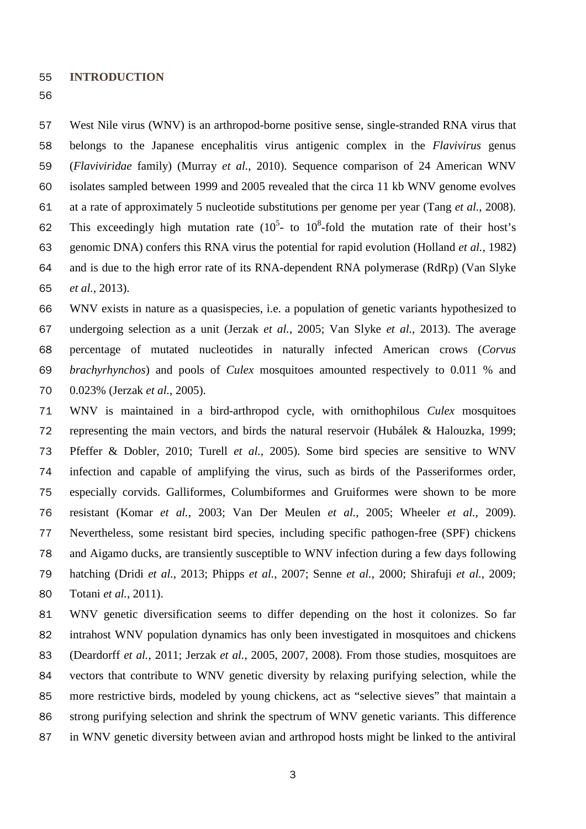**INTRODUCTION**

 belongs to the Japanese encephalitis virus antigenic complex in the *Flavivirus* genus (*Flaviviridae* family) (Murray *et al.*, 2010). Sequence comparison of 24 American WNV isolates sampled between 1999 and 2005 revealed that the circa 11 kb WNV genome evolves at a rate of approximately 5 nucleotide substitutions per genome per year (Tang *et al.*, 2008). 62 This exceedingly high mutation rate  $(10^5 - t_0 10^8)$ -fold the mutation rate of their host's genomic DNA) confers this RNA virus the potential for rapid evolution (Holland *et al.*, 1982) and is due to the high error rate of its RNA-dependent RNA polymerase (RdRp) (Van Slyke *et al.*, 2013). WNV exists in nature as a quasispecies, i.e. a population of genetic variants hypothesized to undergoing selection as a unit (Jerzak *et al.*, 2005; Van Slyke *et al.*, 2013). The average percentage of mutated nucleotides in naturally infected American crows (*Corvus* 

West Nile virus (WNV) is an arthropod-borne positive sense, single-stranded RNA virus that

 *brachyrhynchos*) and pools of *Culex* mosquitoes amounted respectively to 0.011 % and 0.023% (Jerzak *et al.*, 2005).

 WNV is maintained in a bird-arthropod cycle, with ornithophilous *Culex* mosquitoes representing the main vectors, and birds the natural reservoir (Hubálek & Halouzka, 1999; Pfeffer & Dobler, 2010; Turell *et al.*, 2005). Some bird species are sensitive to WNV infection and capable of amplifying the virus, such as birds of the Passeriformes order, especially corvids. Galliformes, Columbiformes and Gruiformes were shown to be more resistant (Komar *et al.*, 2003; Van Der Meulen *et al.*, 2005; Wheeler *et al.*, 2009). Nevertheless, some resistant bird species, including specific pathogen-free (SPF) chickens and Aigamo ducks, are transiently susceptible to WNV infection during a few days following hatching (Dridi *et al.*, 2013; Phipps *et al.*, 2007; Senne *et al.*, 2000; Shirafuji *et al.*, 2009; Totani *et al.*, 2011).

 WNV genetic diversification seems to differ depending on the host it colonizes. So far intrahost WNV population dynamics has only been investigated in mosquitoes and chickens (Deardorff *et al.*, 2011; Jerzak *et al.*, 2005, 2007, 2008). From those studies, mosquitoes are vectors that contribute to WNV genetic diversity by relaxing purifying selection, while the more restrictive birds, modeled by young chickens, act as "selective sieves" that maintain a strong purifying selection and shrink the spectrum of WNV genetic variants. This difference in WNV genetic diversity between avian and arthropod hosts might be linked to the antiviral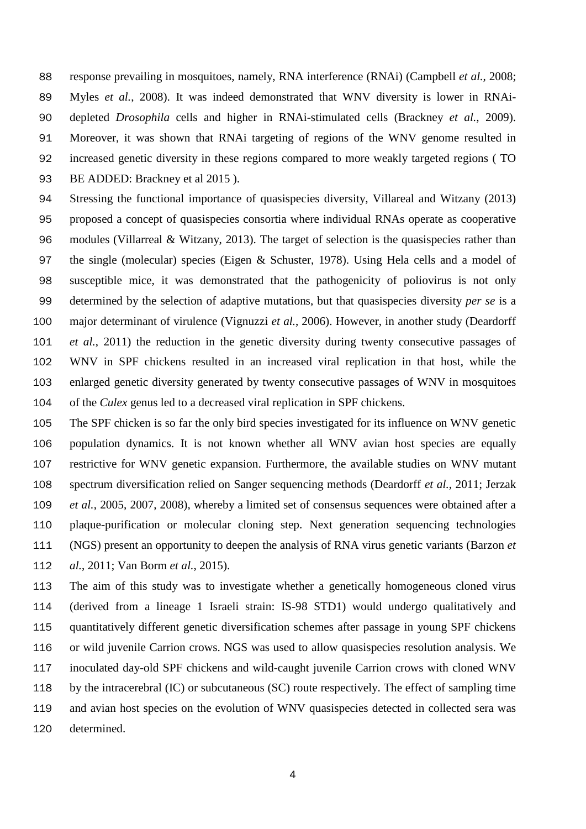response prevailing in mosquitoes, namely, RNA interference (RNAi) (Campbell *et al.*, 2008; Myles *et al.*, 2008). It was indeed demonstrated that WNV diversity is lower in RNAi- depleted *Drosophila* cells and higher in RNAi-stimulated cells (Brackney *et al.*, 2009). Moreover, it was shown that RNAi targeting of regions of the WNV genome resulted in increased genetic diversity in these regions compared to more weakly targeted regions ( TO 93 BE ADDED: Brackney et al 2015).

 Stressing the functional importance of quasispecies diversity, Villareal and Witzany (2013) proposed a concept of quasispecies consortia where individual RNAs operate as cooperative 96 modules (Villarreal & Witzany, 2013). The target of selection is the quasispecies rather than the single (molecular) species (Eigen & Schuster, 1978). Using Hela cells and a model of susceptible mice, it was demonstrated that the pathogenicity of poliovirus is not only determined by the selection of adaptive mutations, but that quasispecies diversity *per se* is a major determinant of virulence (Vignuzzi *et al.*, 2006). However, in another study (Deardorff *et al.*, 2011) the reduction in the genetic diversity during twenty consecutive passages of WNV in SPF chickens resulted in an increased viral replication in that host, while the enlarged genetic diversity generated by twenty consecutive passages of WNV in mosquitoes of the *Culex* genus led to a decreased viral replication in SPF chickens.

- The SPF chicken is so far the only bird species investigated for its influence on WNV genetic population dynamics. It is not known whether all WNV avian host species are equally restrictive for WNV genetic expansion. Furthermore, the available studies on WNV mutant spectrum diversification relied on Sanger sequencing methods (Deardorff *et al.*, 2011; Jerzak *et al.*, 2005, 2007, 2008), whereby a limited set of consensus sequences were obtained after a plaque-purification or molecular cloning step. Next generation sequencing technologies (NGS) present an opportunity to deepen the analysis of RNA virus genetic variants (Barzon *et al.*, 2011; Van Borm *et al.*, 2015).
- The aim of this study was to investigate whether a genetically homogeneous cloned virus (derived from a lineage 1 Israeli strain: IS-98 STD1) would undergo qualitatively and quantitatively different genetic diversification schemes after passage in young SPF chickens or wild juvenile Carrion crows. NGS was used to allow quasispecies resolution analysis. We inoculated day-old SPF chickens and wild-caught juvenile Carrion crows with cloned WNV by the intracerebral (IC) or subcutaneous (SC) route respectively. The effect of sampling time and avian host species on the evolution of WNV quasispecies detected in collected sera was determined.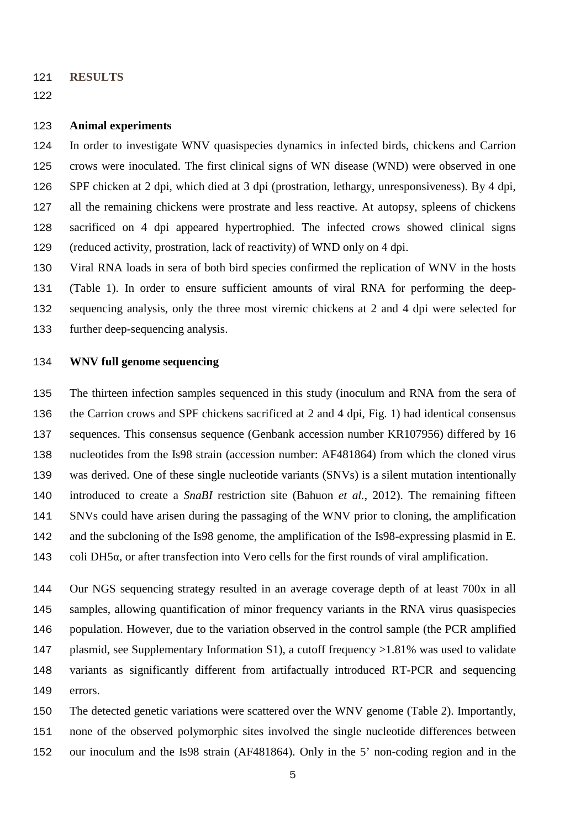- **RESULTS**
- 

## **Animal experiments**

 In order to investigate WNV quasispecies dynamics in infected birds, chickens and Carrion crows were inoculated. The first clinical signs of WN disease (WND) were observed in one SPF chicken at 2 dpi, which died at 3 dpi (prostration, lethargy, unresponsiveness). By 4 dpi, all the remaining chickens were prostrate and less reactive. At autopsy, spleens of chickens sacrificed on 4 dpi appeared hypertrophied. The infected crows showed clinical signs (reduced activity, prostration, lack of reactivity) of WND only on 4 dpi.

 Viral RNA loads in sera of both bird species confirmed the replication of WNV in the hosts (Table 1). In order to ensure sufficient amounts of viral RNA for performing the deep- sequencing analysis, only the three most viremic chickens at 2 and 4 dpi were selected for further deep-sequencing analysis.

### **WNV full genome sequencing**

 The thirteen infection samples sequenced in this study (inoculum and RNA from the sera of the Carrion crows and SPF chickens sacrificed at 2 and 4 dpi, Fig. 1) had identical consensus sequences. This consensus sequence (Genbank accession number KR107956) differed by 16 nucleotides from the Is98 strain (accession number: AF481864) from which the cloned virus was derived. One of these single nucleotide variants (SNVs) is a silent mutation intentionally introduced to create a *SnaBI* restriction site (Bahuon *et al.*, 2012). The remaining fifteen SNVs could have arisen during the passaging of the WNV prior to cloning, the amplification and the subcloning of the Is98 genome, the amplification of the Is98-expressing plasmid in E. coli DH5α, or after transfection into Vero cells for the first rounds of viral amplification.

 Our NGS sequencing strategy resulted in an average coverage depth of at least 700x in all samples, allowing quantification of minor frequency variants in the RNA virus quasispecies population. However, due to the variation observed in the control sample (the PCR amplified plasmid, see Supplementary Information S1), a cutoff frequency >1.81% was used to validate variants as significantly different from artifactually introduced RT-PCR and sequencing errors.

 The detected genetic variations were scattered over the WNV genome (Table 2). Importantly, none of the observed polymorphic sites involved the single nucleotide differences between our inoculum and the Is98 strain (AF481864). Only in the 5' non-coding region and in the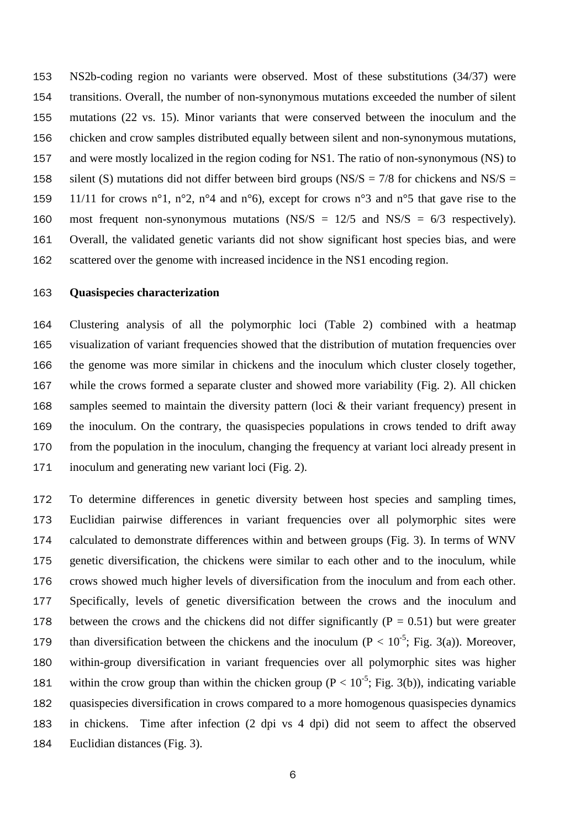NS2b-coding region no variants were observed. Most of these substitutions (34/37) were transitions. Overall, the number of non-synonymous mutations exceeded the number of silent mutations (22 vs. 15). Minor variants that were conserved between the inoculum and the chicken and crow samples distributed equally between silent and non-synonymous mutations, and were mostly localized in the region coding for NS1. The ratio of non-synonymous (NS) to 158 silent (S) mutations did not differ between bird groups (NS/S =  $7/8$  for chickens and NS/S = 159 11/11 for crows n°1, n°2, n°4 and n°6), except for crows n°3 and n°5 that gave rise to the 160 most frequent non-synonymous mutations  $\text{(NS/S)} = 12/5$  and  $\text{NS/S} = 6/3$  respectively). Overall, the validated genetic variants did not show significant host species bias, and were scattered over the genome with increased incidence in the NS1 encoding region.

#### **Quasispecies characterization**

 Clustering analysis of all the polymorphic loci (Table 2) combined with a heatmap visualization of variant frequencies showed that the distribution of mutation frequencies over the genome was more similar in chickens and the inoculum which cluster closely together, while the crows formed a separate cluster and showed more variability (Fig. 2). All chicken samples seemed to maintain the diversity pattern (loci & their variant frequency) present in the inoculum. On the contrary, the quasispecies populations in crows tended to drift away from the population in the inoculum, changing the frequency at variant loci already present in inoculum and generating new variant loci (Fig. 2).

 To determine differences in genetic diversity between host species and sampling times, Euclidian pairwise differences in variant frequencies over all polymorphic sites were calculated to demonstrate differences within and between groups (Fig. 3). In terms of WNV genetic diversification, the chickens were similar to each other and to the inoculum, while crows showed much higher levels of diversification from the inoculum and from each other. Specifically, levels of genetic diversification between the crows and the inoculum and 178 between the crows and the chickens did not differ significantly ( $P = 0.51$ ) but were greater 179 than diversification between the chickens and the inoculum ( $P < 10^{-5}$ ; Fig. 3(a)). Moreover, within-group diversification in variant frequencies over all polymorphic sites was higher 181 within the crow group than within the chicken group ( $P < 10^{-5}$ ; Fig. 3(b)), indicating variable quasispecies diversification in crows compared to a more homogenous quasispecies dynamics in chickens. Time after infection (2 dpi vs 4 dpi) did not seem to affect the observed Euclidian distances (Fig. 3).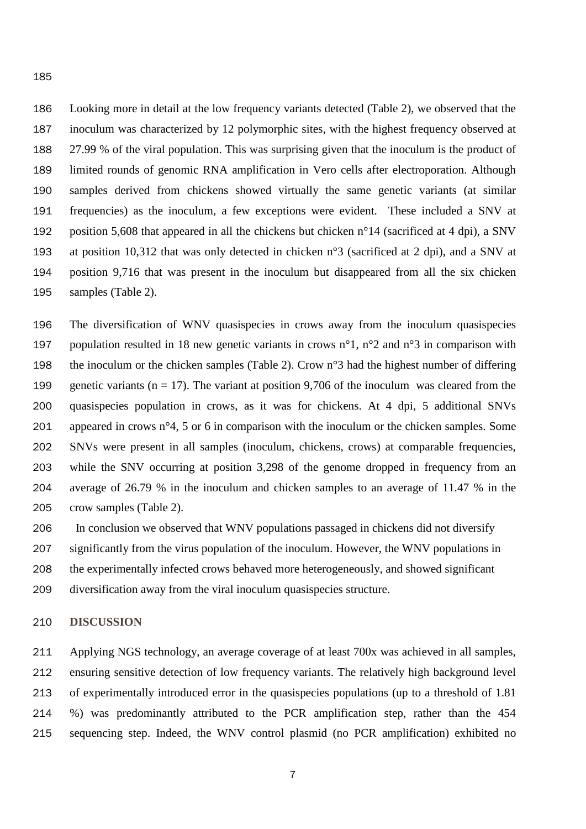Looking more in detail at the low frequency variants detected (Table 2), we observed that the inoculum was characterized by 12 polymorphic sites, with the highest frequency observed at 27.99 % of the viral population. This was surprising given that the inoculum is the product of limited rounds of genomic RNA amplification in Vero cells after electroporation. Although samples derived from chickens showed virtually the same genetic variants (at similar frequencies) as the inoculum, a few exceptions were evident. These included a SNV at position 5,608 that appeared in all the chickens but chicken n°14 (sacrificed at 4 dpi), a SNV at position 10,312 that was only detected in chicken n°3 (sacrificed at 2 dpi), and a SNV at position 9,716 that was present in the inoculum but disappeared from all the six chicken samples (Table 2).

 The diversification of WNV quasispecies in crows away from the inoculum quasispecies 197 population resulted in 18 new genetic variants in crows  $n^{\circ}1$ ,  $n^{\circ}2$  and  $n^{\circ}3$  in comparison with 198 the inoculum or the chicken samples (Table 2). Crow  $n^{\circ}$  had the highest number of differing 199 genetic variants ( $n = 17$ ). The variant at position 9,706 of the inoculum was cleared from the quasispecies population in crows, as it was for chickens. At 4 dpi, 5 additional SNVs 201 appeared in crows  $n^{\circ}4$ , 5 or 6 in comparison with the inoculum or the chicken samples. Some SNVs were present in all samples (inoculum, chickens, crows) at comparable frequencies, while the SNV occurring at position 3,298 of the genome dropped in frequency from an average of 26.79 % in the inoculum and chicken samples to an average of 11.47 % in the crow samples (Table 2).

 In conclusion we observed that WNV populations passaged in chickens did not diversify significantly from the virus population of the inoculum. However, the WNV populations in the experimentally infected crows behaved more heterogeneously, and showed significant

diversification away from the viral inoculum quasispecies structure.

## **DISCUSSION**

 Applying NGS technology, an average coverage of at least 700x was achieved in all samples, ensuring sensitive detection of low frequency variants. The relatively high background level of experimentally introduced error in the quasispecies populations (up to a threshold of 1.81 %) was predominantly attributed to the PCR amplification step, rather than the 454 sequencing step. Indeed, the WNV control plasmid (no PCR amplification) exhibited no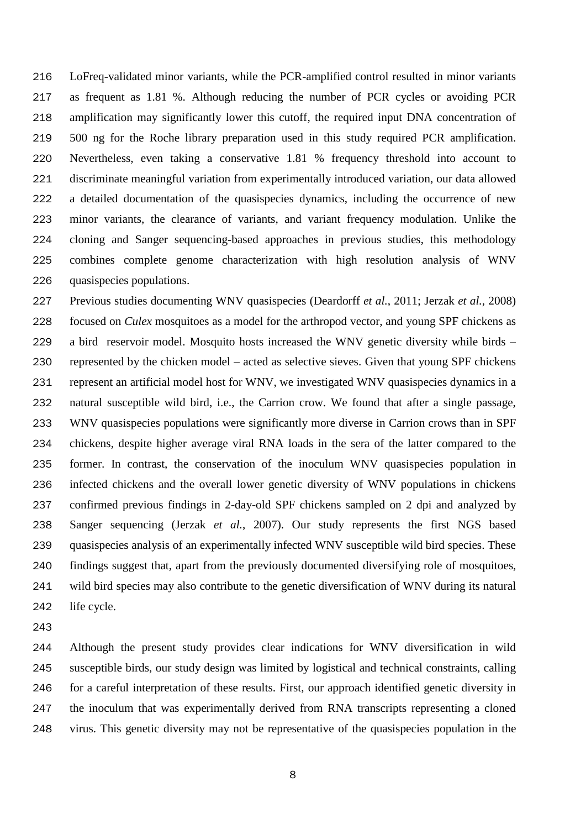LoFreq-validated minor variants, while the PCR-amplified control resulted in minor variants as frequent as 1.81 %. Although reducing the number of PCR cycles or avoiding PCR amplification may significantly lower this cutoff, the required input DNA concentration of 500 ng for the Roche library preparation used in this study required PCR amplification. Nevertheless, even taking a conservative 1.81 % frequency threshold into account to discriminate meaningful variation from experimentally introduced variation, our data allowed a detailed documentation of the quasispecies dynamics, including the occurrence of new minor variants, the clearance of variants, and variant frequency modulation. Unlike the cloning and Sanger sequencing-based approaches in previous studies, this methodology combines complete genome characterization with high resolution analysis of WNV quasispecies populations.

 Previous studies documenting WNV quasispecies (Deardorff *et al.*, 2011; Jerzak *et al.*, 2008) focused on *Culex* mosquitoes as a model for the arthropod vector, and young SPF chickens as a bird reservoir model. Mosquito hosts increased the WNV genetic diversity while birds – represented by the chicken model – acted as selective sieves. Given that young SPF chickens represent an artificial model host for WNV, we investigated WNV quasispecies dynamics in a natural susceptible wild bird, i.e., the Carrion crow. We found that after a single passage, WNV quasispecies populations were significantly more diverse in Carrion crows than in SPF chickens, despite higher average viral RNA loads in the sera of the latter compared to the former. In contrast, the conservation of the inoculum WNV quasispecies population in infected chickens and the overall lower genetic diversity of WNV populations in chickens confirmed previous findings in 2-day-old SPF chickens sampled on 2 dpi and analyzed by Sanger sequencing (Jerzak *et al.*, 2007). Our study represents the first NGS based quasispecies analysis of an experimentally infected WNV susceptible wild bird species. These findings suggest that, apart from the previously documented diversifying role of mosquitoes, wild bird species may also contribute to the genetic diversification of WNV during its natural life cycle.

 Although the present study provides clear indications for WNV diversification in wild susceptible birds, our study design was limited by logistical and technical constraints, calling for a careful interpretation of these results. First, our approach identified genetic diversity in the inoculum that was experimentally derived from RNA transcripts representing a cloned virus. This genetic diversity may not be representative of the quasispecies population in the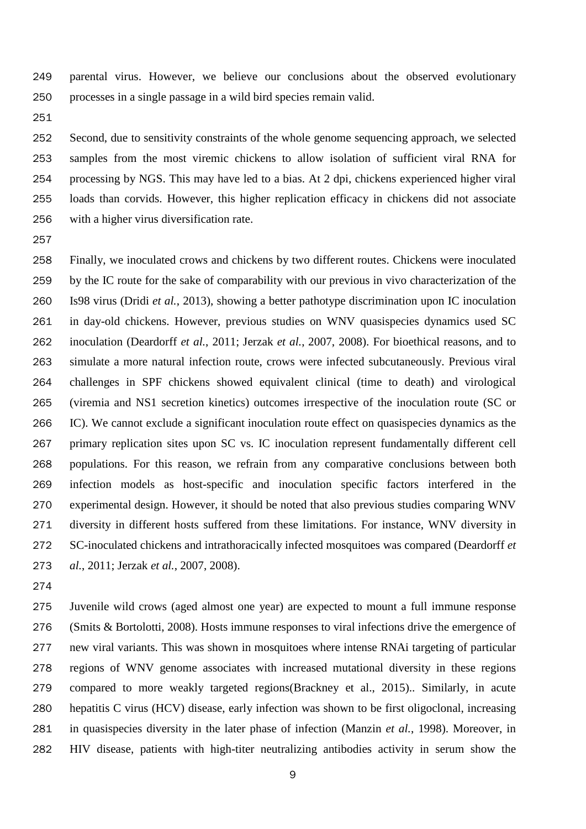parental virus. However, we believe our conclusions about the observed evolutionary processes in a single passage in a wild bird species remain valid.

 Second, due to sensitivity constraints of the whole genome sequencing approach, we selected samples from the most viremic chickens to allow isolation of sufficient viral RNA for processing by NGS. This may have led to a bias. At 2 dpi, chickens experienced higher viral loads than corvids. However, this higher replication efficacy in chickens did not associate with a higher virus diversification rate.

 Finally, we inoculated crows and chickens by two different routes. Chickens were inoculated by the IC route for the sake of comparability with our previous in vivo characterization of the Is98 virus (Dridi *et al.*, 2013), showing a better pathotype discrimination upon IC inoculation in day-old chickens. However, previous studies on WNV quasispecies dynamics used SC inoculation (Deardorff *et al.*, 2011; Jerzak *et al.*, 2007, 2008). For bioethical reasons, and to simulate a more natural infection route, crows were infected subcutaneously. Previous viral challenges in SPF chickens showed equivalent clinical (time to death) and virological (viremia and NS1 secretion kinetics) outcomes irrespective of the inoculation route (SC or IC). We cannot exclude a significant inoculation route effect on quasispecies dynamics as the primary replication sites upon SC vs. IC inoculation represent fundamentally different cell populations. For this reason, we refrain from any comparative conclusions between both infection models as host-specific and inoculation specific factors interfered in the experimental design. However, it should be noted that also previous studies comparing WNV diversity in different hosts suffered from these limitations. For instance, WNV diversity in SC-inoculated chickens and intrathoracically infected mosquitoes was compared (Deardorff *et al.*, 2011; Jerzak *et al.*, 2007, 2008).

 Juvenile wild crows (aged almost one year) are expected to mount a full immune response (Smits & Bortolotti, 2008). Hosts immune responses to viral infections drive the emergence of new viral variants. This was shown in mosquitoes where intense RNAi targeting of particular regions of WNV genome associates with increased mutational diversity in these regions compared to more weakly targeted regions(Brackney et al., 2015).. Similarly, in acute hepatitis C virus (HCV) disease, early infection was shown to be first oligoclonal, increasing in quasispecies diversity in the later phase of infection (Manzin *et al.*, 1998). Moreover, in HIV disease, patients with high-titer neutralizing antibodies activity in serum show the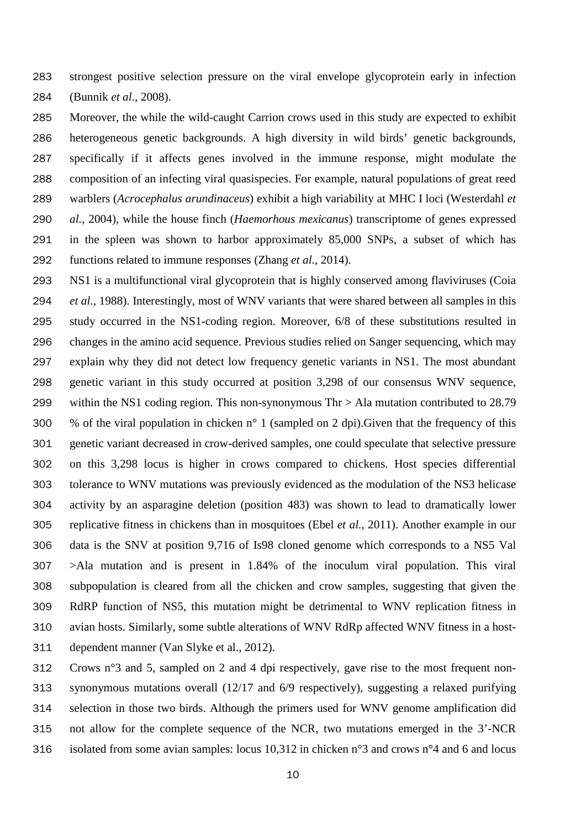strongest positive selection pressure on the viral envelope glycoprotein early in infection (Bunnik *et al.*, 2008).

- Moreover, the while the wild-caught Carrion crows used in this study are expected to exhibit heterogeneous genetic backgrounds. A high diversity in wild birds' genetic backgrounds, specifically if it affects genes involved in the immune response, might modulate the composition of an infecting viral quasispecies. For example, natural populations of great reed warblers (*Acrocephalus arundinaceus*) exhibit a high variability at MHC I loci (Westerdahl *et al.*, 2004), while the house finch (*Haemorhous mexicanus*) transcriptome of genes expressed in the spleen was shown to harbor approximately 85,000 SNPs, a subset of which has functions related to immune responses (Zhang *et al.*, 2014).
- NS1 is a multifunctional viral glycoprotein that is highly conserved among flaviviruses (Coia *et al.*, 1988). Interestingly, most of WNV variants that were shared between all samples in this study occurred in the NS1-coding region. Moreover, 6/8 of these substitutions resulted in changes in the amino acid sequence. Previous studies relied on Sanger sequencing, which may explain why they did not detect low frequency genetic variants in NS1. The most abundant genetic variant in this study occurred at position 3,298 of our consensus WNV sequence, within the NS1 coding region. This non-synonymous Thr > Ala mutation contributed to 28.79 300 % of the viral population in chicken  $n^{\circ}$  1 (sampled on 2 dpi). Given that the frequency of this genetic variant decreased in crow-derived samples, one could speculate that selective pressure on this 3,298 locus is higher in crows compared to chickens. Host species differential tolerance to WNV mutations was previously evidenced as the modulation of the NS3 helicase activity by an asparagine deletion (position 483) was shown to lead to dramatically lower replicative fitness in chickens than in mosquitoes (Ebel *et al.*, 2011). Another example in our data is the SNV at position 9,716 of Is98 cloned genome which corresponds to a NS5 Val >Ala mutation and is present in 1.84% of the inoculum viral population. This viral subpopulation is cleared from all the chicken and crow samples, suggesting that given the RdRP function of NS5, this mutation might be detrimental to WNV replication fitness in avian hosts. Similarly, some subtle alterations of WNV RdRp affected WNV fitness in a host-dependent manner (Van Slyke et al., 2012).

 Crows n°3 and 5, sampled on 2 and 4 dpi respectively, gave rise to the most frequent non- synonymous mutations overall (12/17 and 6/9 respectively), suggesting a relaxed purifying selection in those two birds. Although the primers used for WNV genome amplification did not allow for the complete sequence of the NCR, two mutations emerged in the 3'-NCR isolated from some avian samples: locus 10,312 in chicken n°3 and crows n°4 and 6 and locus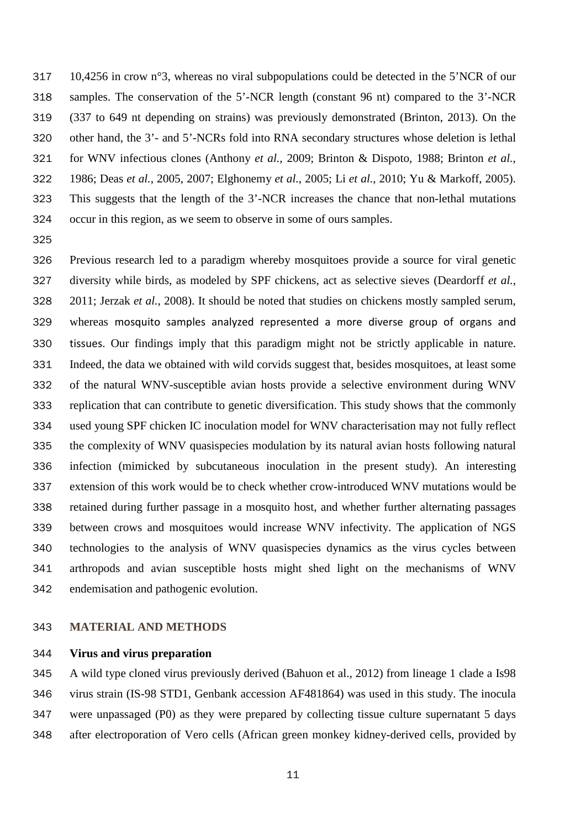10,4256 in crow n°3, whereas no viral subpopulations could be detected in the 5'NCR of our samples. The conservation of the 5'-NCR length (constant 96 nt) compared to the 3'-NCR (337 to 649 nt depending on strains) was previously demonstrated (Brinton, 2013). On the other hand, the 3'- and 5'-NCRs fold into RNA secondary structures whose deletion is lethal for WNV infectious clones (Anthony *et al.*, 2009; Brinton & Dispoto, 1988; Brinton *et al.*, 1986; Deas *et al.*, 2005, 2007; Elghonemy *et al.*, 2005; Li *et al.*, 2010; Yu & Markoff, 2005). This suggests that the length of the 3'-NCR increases the chance that non-lethal mutations occur in this region, as we seem to observe in some of ours samples.

 Previous research led to a paradigm whereby mosquitoes provide a source for viral genetic diversity while birds, as modeled by SPF chickens, act as selective sieves (Deardorff *et al.*, 2011; Jerzak *et al.*, 2008). It should be noted that studies on chickens mostly sampled serum, whereas mosquito samples analyzed represented a more diverse group of organs and tissues. Our findings imply that this paradigm might not be strictly applicable in nature. Indeed, the data we obtained with wild corvids suggest that, besides mosquitoes, at least some of the natural WNV-susceptible avian hosts provide a selective environment during WNV replication that can contribute to genetic diversification. This study shows that the commonly used young SPF chicken IC inoculation model for WNV characterisation may not fully reflect the complexity of WNV quasispecies modulation by its natural avian hosts following natural infection (mimicked by subcutaneous inoculation in the present study). An interesting extension of this work would be to check whether crow-introduced WNV mutations would be retained during further passage in a mosquito host, and whether further alternating passages between crows and mosquitoes would increase WNV infectivity. The application of NGS technologies to the analysis of WNV quasispecies dynamics as the virus cycles between arthropods and avian susceptible hosts might shed light on the mechanisms of WNV endemisation and pathogenic evolution.

## **MATERIAL AND METHODS**

## **Virus and virus preparation**

 A wild type cloned virus previously derived (Bahuon et al., 2012) from lineage 1 clade a Is98 virus strain (IS-98 STD1, Genbank accession AF481864) was used in this study. The inocula were unpassaged (P0) as they were prepared by collecting tissue culture supernatant 5 days after electroporation of Vero cells (African green monkey kidney-derived cells, provided by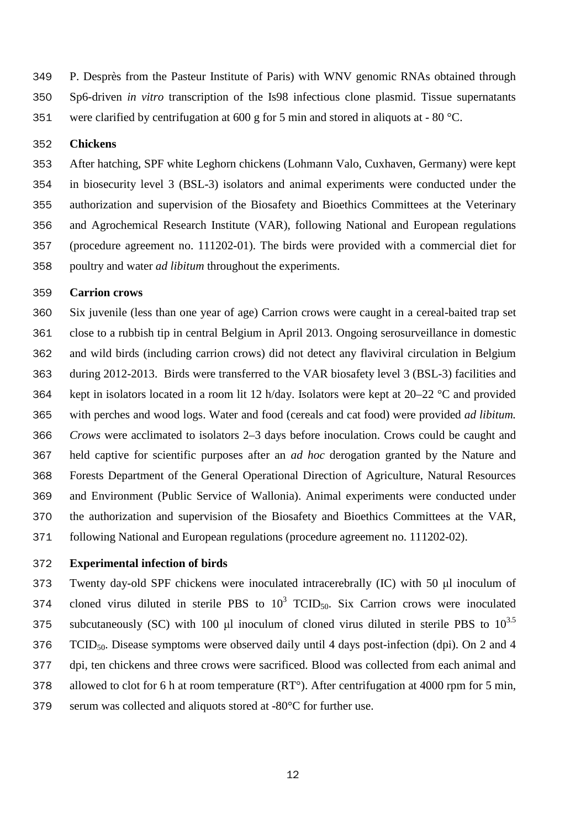P. Desprès from the Pasteur Institute of Paris) with WNV genomic RNAs obtained through Sp6-driven *in vitro* transcription of the Is98 infectious clone plasmid. Tissue supernatants were clarified by centrifugation at 600 g for 5 min and stored in aliquots at - 80 °C.

#### **Chickens**

 After hatching, SPF white Leghorn chickens (Lohmann Valo, Cuxhaven, Germany) were kept in biosecurity level 3 (BSL-3) isolators and animal experiments were conducted under the authorization and supervision of the Biosafety and Bioethics Committees at the Veterinary and Agrochemical Research Institute (VAR), following National and European regulations (procedure agreement no. 111202-01). The birds were provided with a commercial diet for poultry and water *ad libitum* throughout the experiments.

#### **Carrion crows**

 Six juvenile (less than one year of age) Carrion crows were caught in a cereal-baited trap set close to a rubbish tip in central Belgium in April 2013. Ongoing serosurveillance in domestic and wild birds (including carrion crows) did not detect any flaviviral circulation in Belgium during 2012-2013. Birds were transferred to the VAR biosafety level 3 (BSL-3) facilities and kept in isolators located in a room lit 12 h/day. Isolators were kept at 20–22 °C and provided with perches and wood logs. Water and food (cereals and cat food) were provided *ad libitum. Crows* were acclimated to isolators 2–3 days before inoculation. Crows could be caught and held captive for scientific purposes after an *ad hoc* derogation granted by the Nature and Forests Department of the General Operational Direction of Agriculture, Natural Resources and Environment (Public Service of Wallonia). Animal experiments were conducted under the authorization and supervision of the Biosafety and Bioethics Committees at the VAR, following National and European regulations (procedure agreement no. 111202-02).

#### **Experimental infection of birds**

 Twenty day-old SPF chickens were inoculated intracerebrally (IC) with 50 μl inoculum of 374 cloned virus diluted in sterile PBS to  $10^3$  TCID<sub>50</sub>. Six Carrion crows were inoculated 375 subcutaneously (SC) with 100 µl inoculum of cloned virus diluted in sterile PBS to  $10^{3.5}$ 376 TCID<sub>50</sub>. Disease symptoms were observed daily until 4 days post-infection (dpi). On 2 and 4 dpi, ten chickens and three crows were sacrificed. Blood was collected from each animal and allowed to clot for 6 h at room temperature (RT°). After centrifugation at 4000 rpm for 5 min, serum was collected and aliquots stored at -80°C for further use.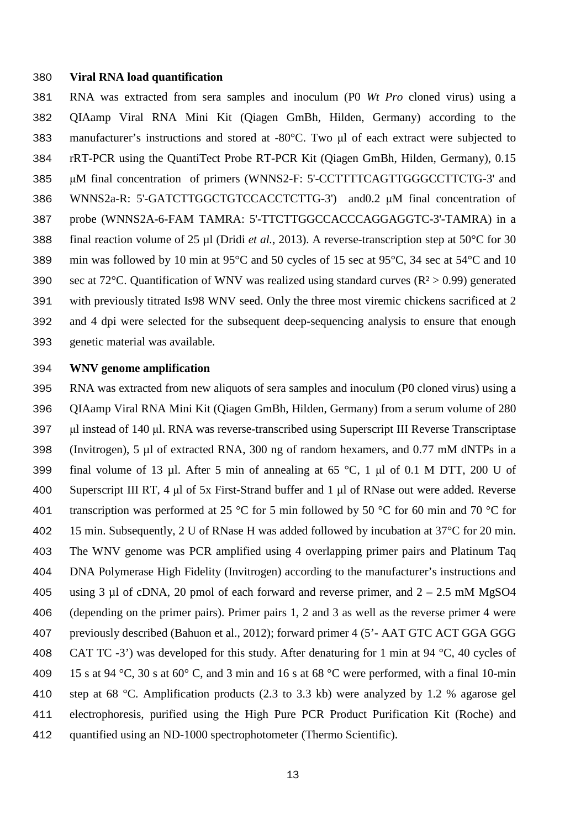#### **Viral RNA load quantification**

 RNA was extracted from sera samples and inoculum (P0 *Wt Pro* cloned virus) using a QIAamp Viral RNA Mini Kit (Qiagen GmBh, Hilden, Germany) according to the manufacturer's instructions and stored at -80°C. Two μl of each extract were subjected to rRT-PCR using the QuantiTect Probe RT-PCR Kit (Qiagen GmBh, Hilden, Germany), 0.15 μM final concentration of primers (WNNS2-F: 5'-CCTTTTCAGTTGGGCCTTCTG-3' and WNNS2a-R: 5'-GATCTTGGCTGTCCACCTCTTG-3') and0.2 μM final concentration of probe (WNNS2A-6-FAM TAMRA: 5'-TTCTTGGCCACCCAGGAGGTC-3'-TAMRA) in a final reaction volume of 25 µl (Dridi *et al.*, 2013). A reverse-transcription step at 50°C for 30 min was followed by 10 min at 95°C and 50 cycles of 15 sec at 95°C, 34 sec at 54°C and 10 390 sec at 72°C. Quantification of WNV was realized using standard curves  $(R^2 > 0.99)$  generated with previously titrated Is98 WNV seed. Only the three most viremic chickens sacrificed at 2 and 4 dpi were selected for the subsequent deep-sequencing analysis to ensure that enough genetic material was available.

#### **WNV genome amplification**

 RNA was extracted from new aliquots of sera samples and inoculum (P0 cloned virus) using a QIAamp Viral RNA Mini Kit (Qiagen GmBh, Hilden, Germany) from a serum volume of 280 μl instead of 140 μl. RNA was reverse-transcribed using Superscript III Reverse Transcriptase (Invitrogen), 5 µl of extracted RNA, 300 ng of random hexamers, and 0.77 mM dNTPs in a final volume of 13 µl. After 5 min of annealing at 65 °C, 1 μl of 0.1 M DTT, 200 U of Superscript III RT, 4 μl of 5x First-Strand buffer and 1 μl of RNase out were added. Reverse 401 transcription was performed at 25 °C for 5 min followed by 50 °C for 60 min and 70 °C for 402 15 min. Subsequently, 2 U of RNase H was added followed by incubation at 37<sup>o</sup>C for 20 min. The WNV genome was PCR amplified using 4 overlapping primer pairs and Platinum Taq DNA Polymerase High Fidelity (Invitrogen) according to the manufacturer's instructions and 405 using 3 µl of cDNA, 20 pmol of each forward and reverse primer, and  $2 - 2.5$  mM MgSO4 (depending on the primer pairs). Primer pairs 1, 2 and 3 as well as the reverse primer 4 were previously described (Bahuon et al., 2012); forward primer 4 (5'- AAT GTC ACT GGA GGG 408 CAT TC -3') was developed for this study. After denaturing for 1 min at 94 °C, 40 cycles of 409 15 s at 94 °C, 30 s at 60° C, and 3 min and 16 s at 68 °C were performed, with a final 10-min step at 68 °C. Amplification products (2.3 to 3.3 kb) were analyzed by 1.2 % agarose gel electrophoresis, purified using the High Pure PCR Product Purification Kit (Roche) and quantified using an ND-1000 spectrophotometer (Thermo Scientific).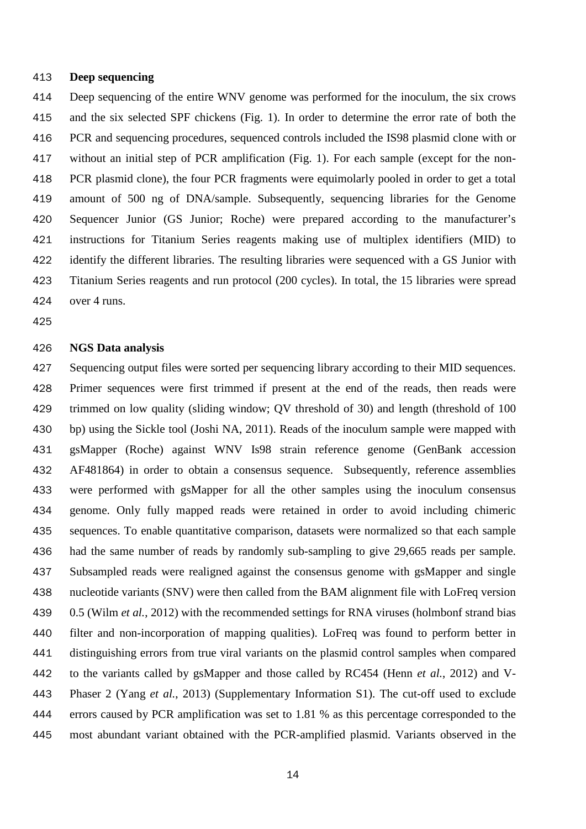#### **Deep sequencing**

 Deep sequencing of the entire WNV genome was performed for the inoculum, the six crows and the six selected SPF chickens (Fig. 1). In order to determine the error rate of both the PCR and sequencing procedures, sequenced controls included the IS98 plasmid clone with or without an initial step of PCR amplification (Fig. 1). For each sample (except for the non- PCR plasmid clone), the four PCR fragments were equimolarly pooled in order to get a total amount of 500 ng of DNA/sample. Subsequently, sequencing libraries for the Genome Sequencer Junior (GS Junior; Roche) were prepared according to the manufacturer's instructions for Titanium Series reagents making use of multiplex identifiers (MID) to identify the different libraries. The resulting libraries were sequenced with a GS Junior with Titanium Series reagents and run protocol (200 cycles). In total, the 15 libraries were spread over 4 runs.

### **NGS Data analysis**

 Sequencing output files were sorted per sequencing library according to their MID sequences. Primer sequences were first trimmed if present at the end of the reads, then reads were trimmed on low quality (sliding window; QV threshold of 30) and length (threshold of 100 bp) using the Sickle tool (Joshi NA, 2011). Reads of the inoculum sample were mapped with gsMapper (Roche) against WNV Is98 strain reference genome (GenBank accession AF481864) in order to obtain a consensus sequence. Subsequently, reference assemblies were performed with gsMapper for all the other samples using the inoculum consensus genome. Only fully mapped reads were retained in order to avoid including chimeric sequences. To enable quantitative comparison, datasets were normalized so that each sample had the same number of reads by randomly sub-sampling to give 29,665 reads per sample. Subsampled reads were realigned against the consensus genome with gsMapper and single nucleotide variants (SNV) were then called from the BAM alignment file with LoFreq version 0.5 (Wilm *et al.*, 2012) with the recommended settings for RNA viruses (holmbonf strand bias filter and non-incorporation of mapping qualities). LoFreq was found to perform better in distinguishing errors from true viral variants on the plasmid control samples when compared to the variants called by gsMapper and those called by RC454 (Henn *et al.*, 2012) and V- Phaser 2 (Yang *et al.*, 2013) (Supplementary Information S1). The cut-off used to exclude errors caused by PCR amplification was set to 1.81 % as this percentage corresponded to the most abundant variant obtained with the PCR-amplified plasmid. Variants observed in the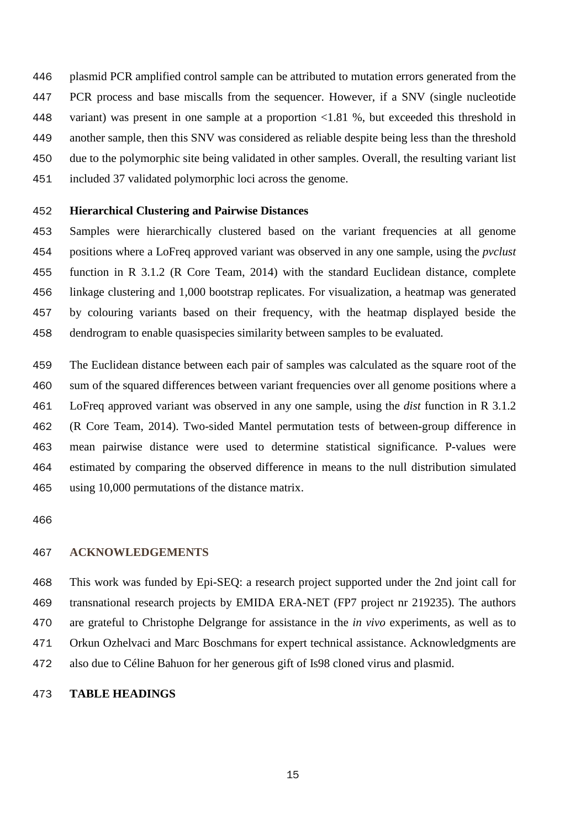plasmid PCR amplified control sample can be attributed to mutation errors generated from the PCR process and base miscalls from the sequencer. However, if a SNV (single nucleotide variant) was present in one sample at a proportion <1.81 %, but exceeded this threshold in another sample, then this SNV was considered as reliable despite being less than the threshold due to the polymorphic site being validated in other samples. Overall, the resulting variant list included 37 validated polymorphic loci across the genome.

## **Hierarchical Clustering and Pairwise Distances**

 Samples were hierarchically clustered based on the variant frequencies at all genome positions where a LoFreq approved variant was observed in any one sample, using the *pvclust* function in R 3.1.2 (R Core Team, 2014) with the standard Euclidean distance, complete linkage clustering and 1,000 bootstrap replicates. For visualization, a heatmap was generated by colouring variants based on their frequency, with the heatmap displayed beside the dendrogram to enable quasispecies similarity between samples to be evaluated.

 The Euclidean distance between each pair of samples was calculated as the square root of the sum of the squared differences between variant frequencies over all genome positions where a LoFreq approved variant was observed in any one sample, using the *dist* function in R 3.1.2 (R Core Team, 2014). Two-sided Mantel permutation tests of between-group difference in mean pairwise distance were used to determine statistical significance. P-values were estimated by comparing the observed difference in means to the null distribution simulated using 10,000 permutations of the distance matrix.

#### **ACKNOWLEDGEMENTS**

 This work was funded by Epi-SEQ: a research project supported under the 2nd joint call for transnational research projects by EMIDA ERA-NET (FP7 project nr 219235). The authors are grateful to Christophe Delgrange for assistance in the *in vivo* experiments, as well as to Orkun Ozhelvaci and Marc Boschmans for expert technical assistance. Acknowledgments are also due to Céline Bahuon for her generous gift of Is98 cloned virus and plasmid.

#### **TABLE HEADINGS**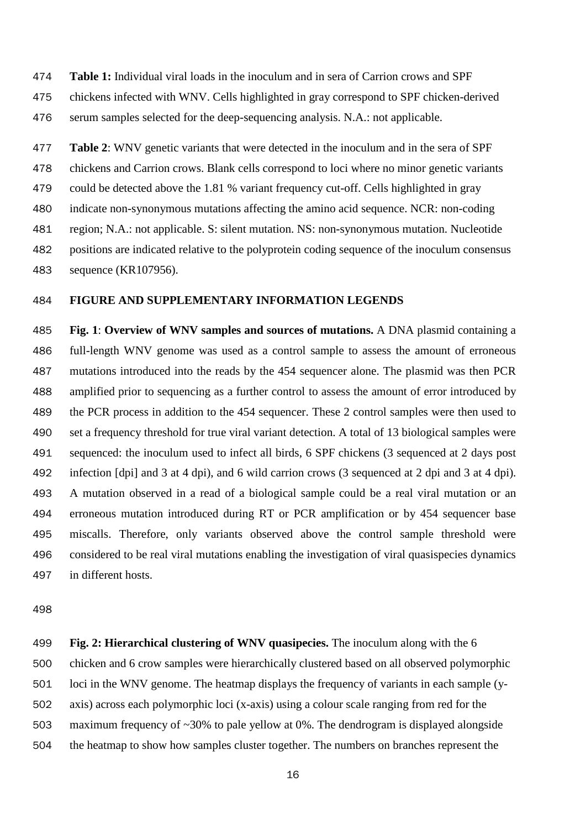**Table 1:** Individual viral loads in the inoculum and in sera of Carrion crows and SPF chickens infected with WNV. Cells highlighted in gray correspond to SPF chicken-derived serum samples selected for the deep-sequencing analysis. N.A.: not applicable.

 **Table 2**: WNV genetic variants that were detected in the inoculum and in the sera of SPF chickens and Carrion crows. Blank cells correspond to loci where no minor genetic variants could be detected above the 1.81 % variant frequency cut-off. Cells highlighted in gray indicate non-synonymous mutations affecting the amino acid sequence. NCR: non-coding region; N.A.: not applicable. S: silent mutation. NS: non-synonymous mutation. Nucleotide positions are indicated relative to the polyprotein coding sequence of the inoculum consensus sequence (KR107956).

## **FIGURE AND SUPPLEMENTARY INFORMATION LEGENDS**

 **Fig. 1**: **Overview of WNV samples and sources of mutations.** A DNA plasmid containing a full-length WNV genome was used as a control sample to assess the amount of erroneous mutations introduced into the reads by the 454 sequencer alone. The plasmid was then PCR amplified prior to sequencing as a further control to assess the amount of error introduced by the PCR process in addition to the 454 sequencer. These 2 control samples were then used to set a frequency threshold for true viral variant detection. A total of 13 biological samples were sequenced: the inoculum used to infect all birds, 6 SPF chickens (3 sequenced at 2 days post infection [dpi] and 3 at 4 dpi), and 6 wild carrion crows (3 sequenced at 2 dpi and 3 at 4 dpi). A mutation observed in a read of a biological sample could be a real viral mutation or an erroneous mutation introduced during RT or PCR amplification or by 454 sequencer base miscalls. Therefore, only variants observed above the control sample threshold were considered to be real viral mutations enabling the investigation of viral quasispecies dynamics in different hosts.

 **Fig. 2: Hierarchical clustering of WNV quasipecies.** The inoculum along with the 6 chicken and 6 crow samples were hierarchically clustered based on all observed polymorphic loci in the WNV genome. The heatmap displays the frequency of variants in each sample (y- axis) across each polymorphic loci (x-axis) using a colour scale ranging from red for the maximum frequency of ~30% to pale yellow at 0%. The dendrogram is displayed alongside the heatmap to show how samples cluster together. The numbers on branches represent the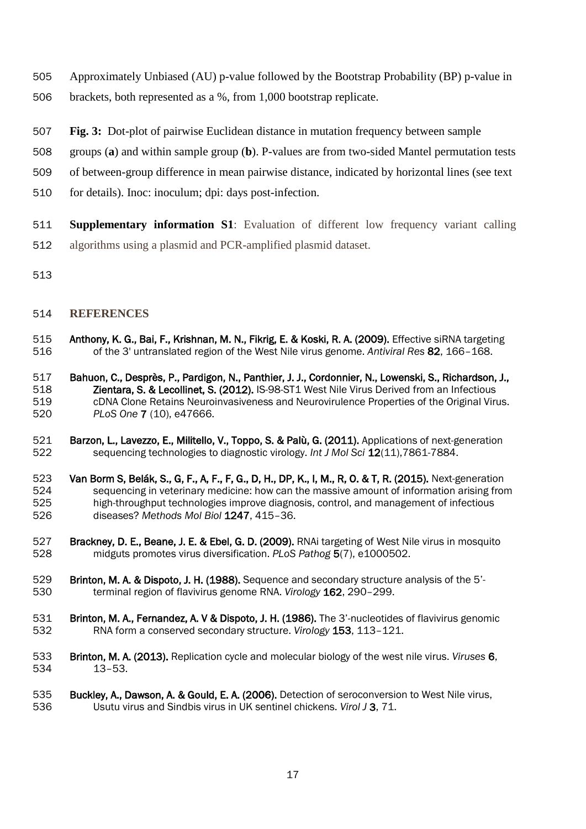- Approximately Unbiased (AU) p-value followed by the Bootstrap Probability (BP) p-value in
- brackets, both represented as a %, from 1,000 bootstrap replicate.
- **Fig. 3:** Dot-plot of pairwise Euclidean distance in mutation frequency between sample
- groups (**a**) and within sample group (**b**). P-values are from two-sided Mantel permutation tests
- of between-group difference in mean pairwise distance, indicated by horizontal lines (see text
- for details). Inoc: inoculum; dpi: days post-infection.
- **Supplementary information S1**: Evaluation of different low frequency variant calling algorithms using a plasmid and PCR-amplified plasmid dataset.
- 

## **REFERENCES**

- 515 **Anthony, K. G., Bai, F., Krishnan, M. N., Fikrig, E. & Koski, R. A. (2009).** Effective siRNA targeting<br>516 of the 3' untranslated region of the West Nile virus genome. Antiviral Res 82, 166-168. of the 3' untranslated region of the West Nile virus genome. *Antiviral Res* 82, 166–168.
- Bahuon, C., Desprès, P., Pardigon, N., Panthier, J. J., Cordonnier, N., Lowenski, S., Richardson, J., Zientara, S. & Lecollinet, S. (2012). IS-98-ST1 West Nile Virus Derived from an Infectious 519 cDNA Clone Retains Neuroinvasiveness and Neurovirulence Properties of the Original Virus.<br>520 PLoS One 7 (10), e47666. *PLoS One* 7 (10), e47666.
- 521 Barzon, L., Lavezzo, E., Militello, V., Toppo, S. & Palù, G. (2011). Applications of next-generation<br>522 sequencing technologies to diagnostic virology. *Int J Mol Sci* 12(11), 7861-7884. sequencing technologies to diagnostic virology. *Int J Mol Sci* 12(11),7861-7884.
- 523 Van Borm S, Belák, S., G, F., A, F., F, G., D, H., DP, K., I, M., R, O. & T, R. (2015). Next-generation<br>524 sequencing in veterinary medicine: how can the massive amount of information arising fror sequencing in veterinary medicine: how can the massive amount of information arising from 525 high-throughput technologies improve diagnosis, control, and management of infectious<br>526 diseases? Methods Mol Biol 1247, 415-36. diseases? *Methods Mol Biol* 1247, 415–36.
- **Brackney, D. E., Beane, J. E. & Ebel, G. D. (2009).** RNAi targeting of West Nile virus in mosquito 528 midguts promotes virus diversification. *PLoS Pathog* 5(7), e1000502. midguts promotes virus diversification. *PLoS Pathog* 5(7), e1000502.
- 529 Brinton, M. A. & Dispoto, J. H. (1988). Sequence and secondary structure analysis of the 5'-<br>530 terminal region of flavivirus genome RNA. Virology 162, 290-299. terminal region of flavivirus genome RNA. *Virology* 162, 290–299.
- 531 Brinton, M. A., Fernandez, A. V & Dispoto, J. H. (1986). The 3'-nucleotides of flavivirus genomic<br>532 RNA form a conserved secondary structure. Virology 153, 113-121. RNA form a conserved secondary structure. *Virology* 153, 113–121.
- Brinton, M. A. (2013). Replication cycle and molecular biology of the west nile virus. *Viruses* 6, 13–53.
- Buckley, A., Dawson, A. & Gould, E. A. (2006). Detection of seroconversion to West Nile virus, Usutu virus and Sindbis virus in UK sentinel chickens. *Virol J* 3, 71.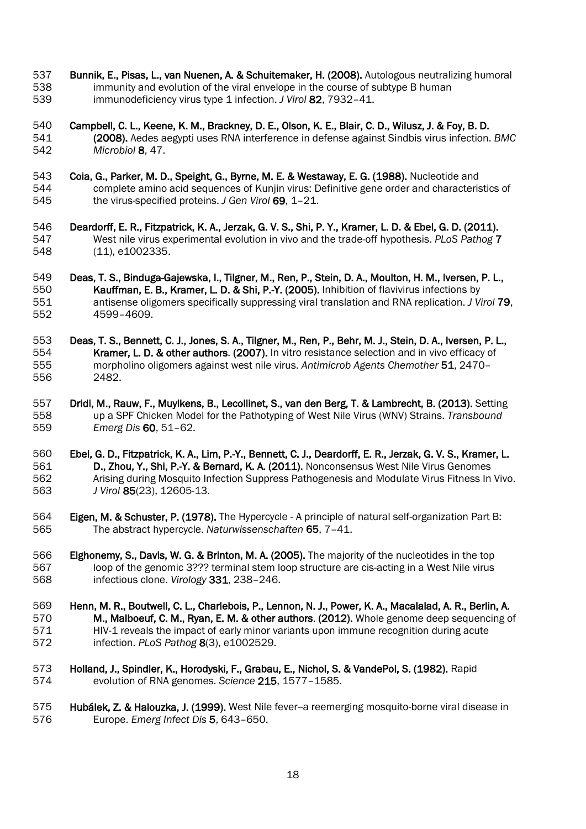- **Bunnik, E., Pisas, L., van Nuenen, A. & Schuitemaker, H. (2008).** Autologous neutralizing humoral **538** immunity and evolution of the viral envelope in the course of subtype B human immunity and evolution of the viral envelope in the course of subtype B human immunodeficiency virus type 1 infection. *J Virol* 82, 7932–41.
- Campbell, C. L., Keene, K. M., Brackney, D. E., Olson, K. E., Blair, C. D., Wilusz, J. & Foy, B. D. (2008). Aedes aegypti uses RNA interference in defense against Sindbis virus infection. *BMC Microbiol* 8, 47.
- 543 **Coia, G., Parker, M. D., Speight, G., Byrne, M. E. & Westaway, E. G. (1988).** Nucleotide and 544 complete amino acid sequences of Kunjin virus: Definitive gene order and characteris 544 complete amino acid sequences of Kunjin virus: Definitive gene order and characteristics of 545 the virus-specified proteins. J Gen Virol 69, 1-21. the virus-specified proteins. *J Gen Virol* 69, 1–21.
- 546 Deardorff, E. R., Fitzpatrick, K. A., Jerzak, G. V. S., Shi, P. Y., Kramer, L. D. & Ebel, G. D. (2011).<br>547 West nile virus experimental evolution in vivo and the trade-off hypothesis. PLoS Pathog 7 West nile virus experimental evolution in vivo and the trade-off hypothesis. *PLoS Pathog* 7 (11), e1002335.
- Deas, T. S., Binduga-Gajewska, I., Tilgner, M., Ren, P., Stein, D. A., Moulton, H. M., Iversen, P. L., Kauffman, E. B., Kramer, L. D. & Shi, P.-Y. (2005). Inhibition of flavivirus infections by antisense oligomers specifically suppressing viral translation and RNA replication. *J Virol* 79, 4599–4609.
- Deas, T. S., Bennett, C. J., Jones, S. A., Tilgner, M., Ren, P., Behr, M. J., Stein, D. A., Iversen, P. L., Kramer, L. D. & other authors. (2007). In vitro resistance selection and in vivo efficacy of morpholino oligomers against west nile virus. *Antimicrob Agents Chemother* 51, 2470– 2482.
- **Dridi, M., Rauw, F., Muylkens, B., Lecollinet, S., van den Berg, T. & Lambrecht, B. (2013).** Setting 558 up a SPF Chicken Model for the Pathotyping of West Nile Virus (WNV) Strains. Transbound up a SPF Chicken Model for the Pathotyping of West Nile Virus (WNV) Strains. *Transbound Emerg Dis* 60, 51–62.
- Ebel, G. D., Fitzpatrick, K. A., Lim, P.-Y., Bennett, C. J., Deardorff, E. R., Jerzak, G. V. S., Kramer, L. 561 **D., Zhou, Y., Shi, P.-Y. & Bernard, K. A. (2011).** Nonconsensus West Nile Virus Genomes<br>562 *Arising during Mosquito Infection Suppress Pathogenesis and Modulate Virus Fitness In* Arising during Mosquito Infection Suppress Pathogenesis and Modulate Virus Fitness In Vivo. *J Virol* 85(23), 12605-13.
- Eigen, M. & Schuster, P. (1978). The Hypercycle A principle of natural self-organization Part B: The abstract hypercycle. *Naturwissenschaften* 65, 7–41.
- Elghonemy, S., Davis, W. G. & Brinton, M. A. (2005). The majority of the nucleotides in the top loop of the genomic 3??? terminal stem loop structure are cis-acting in a West Nile virus infectious clone. *Virology* 331, 238–246.
- Henn, M. R., Boutwell, C. L., Charlebois, P., Lennon, N. J., Power, K. A., Macalalad, A. R., Berlin, A. **M., Malboeuf, C. M., Ryan, E. M. & other authors. (2012).** Whole genome deep sequencing of 571 **M.** HIV-1 reveals the impact of early minor variants upon immune recognition during acute HIV-1 reveals the impact of early minor variants upon immune recognition during acute infection. *PLoS Pathog* 8(3), e1002529.
- Holland, J., Spindler, K., Horodyski, F., Grabau, E., Nichol, S. & VandePol, S. (1982). Rapid evolution of RNA genomes. *Science* 215, 1577–1585.
- **Hubálek, Z. & Halouzka, J. (1999).** West Nile fever--a reemerging mosquito-borne viral disease in browner Emerg Infect Dis 5, 643-650. Europe. *Emerg Infect Dis* 5, 643–650.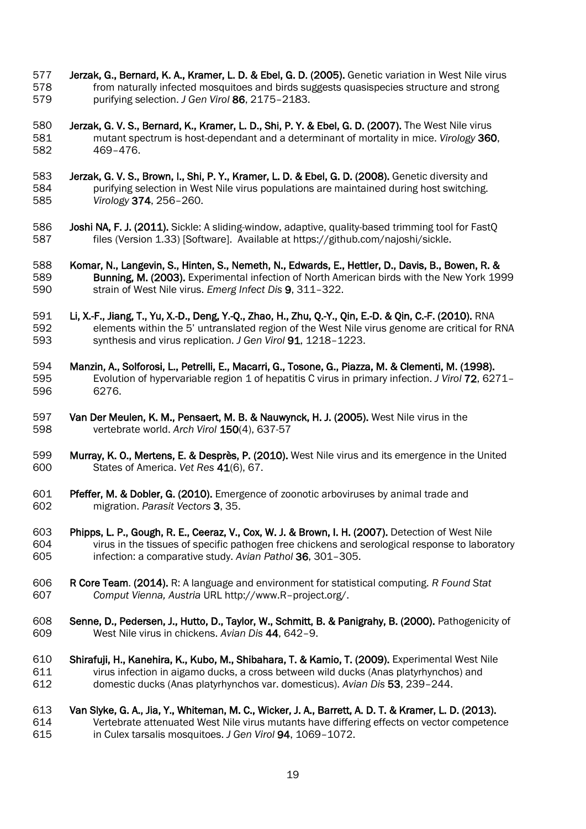- 577 Jerzak, G., Bernard, K. A., Kramer, L. D. & Ebel, G. D. (2005). Genetic variation in West Nile virus<br>578 from naturally infected mosquitoes and birds suggests quasispecies structure and strong from naturally infected mosquitoes and birds suggests quasispecies structure and strong purifying selection. *J Gen Virol* 86, 2175–2183.
- Jerzak, G. V. S., Bernard, K., Kramer, L. D., Shi, P. Y. & Ebel, G. D. (2007). The West Nile virus mutant spectrum is host-dependant and a determinant of mortality in mice. *Virology* 360, 469-476.
- **Jerzak, G. V. S., Brown, I., Shi, P. Y., Kramer, L. D. & Ebel, G. D. (2008).** Genetic diversity and 584 purifying selection in West Nile virus populations are maintained during host switching. 584 purifying selection in West Nile virus populations are maintained during host switching.<br>585 Virology 374, 256-260. *Virology* 374, 256–260.
- 586 **Joshi NA, F. J. (2011).** Sickle: A sliding-window, adaptive, quality-based trimming tool for FastQ<br>587 files (Version 1.33) [Software]. Available at https://github.com/najoshi/sickle. files (Version 1.33) [Software]. Available at https://github.com/najoshi/sickle.
- 588 Komar, N., Langevin, S., Hinten, S., Nemeth, N., Edwards, E., Hettler, D., Davis, B., Bowen, R. & 589 Sunning, M. (2003). Experimental infection of North American birds with the New York 19 Bunning, M. (2003). Experimental infection of North American birds with the New York 1999 strain of West Nile virus. *Emerg Infect Dis* 9, 311–322.
- Li, X.-F., Jiang, T., Yu, X.-D., Deng, Y.-Q., Zhao, H., Zhu, Q.-Y., Qin, E.-D. & Qin, C.-F. (2010). RNA 592 elements within the 5' untranslated region of the West Nile virus genome are critical for RNA<br>593 synthesis and virus replication. J Gen Virol 91, 1218-1223. synthesis and virus replication. *J Gen Virol* 91, 1218–1223.
- Manzin, A., Solforosi, L., Petrelli, E., Macarri, G., Tosone, G., Piazza, M. & Clementi, M. (1998). Evolution of hypervariable region 1 of hepatitis C virus in primary infection. *J Virol* 72, 6271– 6276.
- Van Der Meulen, K. M., Pensaert, M. B. & Nauwynck, H. J. (2005). West Nile virus in the vertebrate world. *Arch Virol* 150(4), 637-57
- Murray, K. O., Mertens, E. & Desprès, P. (2010). West Nile virus and its emergence in the United States of America. *Vet Res* 41(6), 67.
- Pfeffer, M. & Dobler, G. (2010). Emergence of zoonotic arboviruses by animal trade and migration. *Parasit Vectors* 3, 35.
- Phipps, L. P., Gough, R. E., Ceeraz, V., Cox, W. J. & Brown, I. H. (2007). Detection of West Nile 604 virus in the tissues of specific pathogen free chickens and serological response to laboratory<br>605 infection: a comparative study. Avian Pathol 36, 301–305. infection: a comparative study. *Avian Pathol* 36, 301–305.
- R Core Team. (2014). R: A language and environment for statistical computing. *R Found Stat Comput Vienna, Austria* URL http://www.R–project.org/.
- 608 Senne, D., Pedersen, J., Hutto, D., Taylor, W., Schmitt, B. & Panigrahy, B. (2000). Pathogenicity of 609 vest Nile virus in chickens. Avian Dis 44. 642-9. West Nile virus in chickens. *Avian Dis* 44, 642–9.
- Shirafuji, H., Kanehira, K., Kubo, M., Shibahara, T. & Kamio, T. (2009). Experimental West Nile 611 virus infection in aigamo ducks, a cross between wild ducks (Anas platyrhynchos) and<br>612 domestic ducks (Anas platyrhynchos var. domesticus). Avian Dis 53, 239-244. domestic ducks (Anas platyrhynchos var. domesticus). *Avian Dis* 53, 239–244.
- Van Slyke, G. A., Jia, Y., Whiteman, M. C., Wicker, J. A., Barrett, A. D. T. & Kramer, L. D. (2013). Vertebrate attenuated West Nile virus mutants have differing effects on vector competence in Culex tarsalis mosquitoes. *J Gen Virol* 94, 1069–1072.